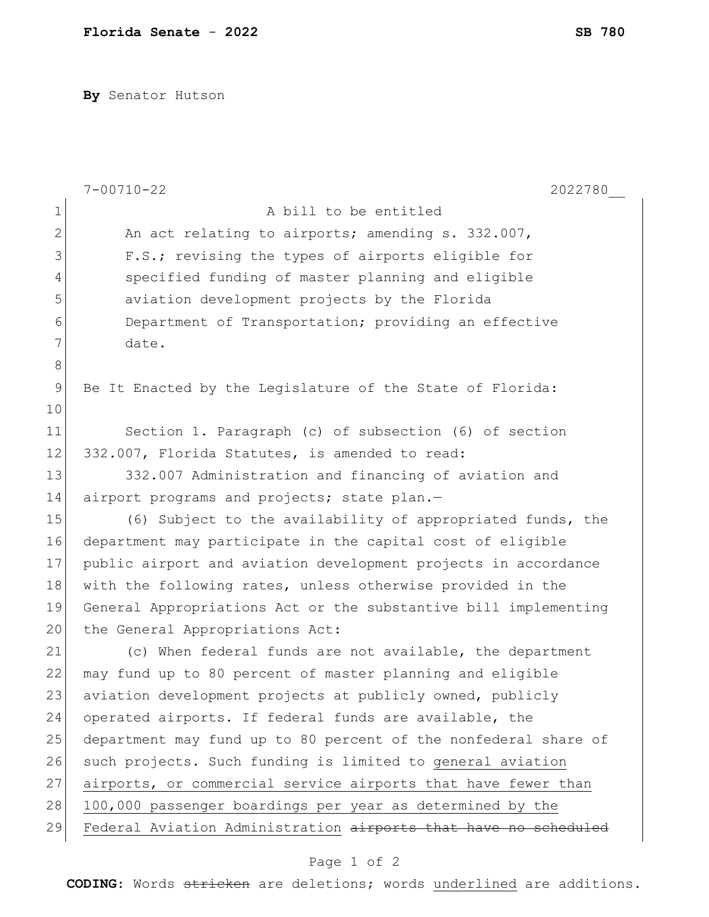**By** Senator Hutson

|              | $7 - 00710 - 22$<br>2022780                                     |
|--------------|-----------------------------------------------------------------|
| $\mathbf 1$  | A bill to be entitled                                           |
| $\mathbf{2}$ | An act relating to airports; amending s. 332.007,               |
| 3            | F.S.; revising the types of airports eligible for               |
| 4            | specified funding of master planning and eligible               |
| 5            | aviation development projects by the Florida                    |
| 6            | Department of Transportation; providing an effective            |
| 7            | date.                                                           |
| 8            |                                                                 |
| 9            | Be It Enacted by the Legislature of the State of Florida:       |
| 10           |                                                                 |
| 11           | Section 1. Paragraph (c) of subsection (6) of section           |
| 12           | 332.007, Florida Statutes, is amended to read:                  |
| 13           | 332.007 Administration and financing of aviation and            |
| 14           | airport programs and projects; state plan.-                     |
| 15           | (6) Subject to the availability of appropriated funds, the      |
| 16           | department may participate in the capital cost of eligible      |
| 17           | public airport and aviation development projects in accordance  |
| 18           | with the following rates, unless otherwise provided in the      |
| 19           | General Appropriations Act or the substantive bill implementing |
| 20           | the General Appropriations Act:                                 |
| 21           | (c) When federal funds are not available, the department        |
| 22           | may fund up to 80 percent of master planning and eligible       |
| 23           | aviation development projects at publicly owned, publicly       |
| 24           | operated airports. If federal funds are available, the          |
| 25           | department may fund up to 80 percent of the nonfederal share of |
| 26           | such projects. Such funding is limited to general aviation      |
| 27           | airports, or commercial service airports that have fewer than   |
| 28           | 100,000 passenger boardings per year as determined by the       |
| 29           | Federal Aviation Administration airports that have no scheduled |
|              |                                                                 |

## Page 1 of 2

**CODING**: Words stricken are deletions; words underlined are additions.